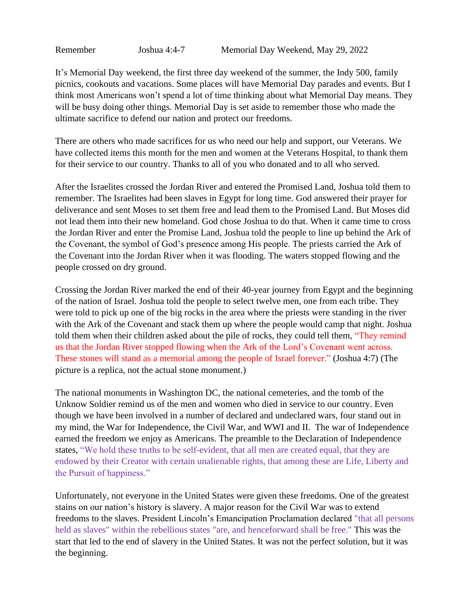Remember Joshua 4:4-7 Memorial Day Weekend, May 29, 2022

It's Memorial Day weekend, the first three day weekend of the summer, the Indy 500, family picnics, cookouts and vacations. Some places will have Memorial Day parades and events. But I think most Americans won't spend a lot of time thinking about what Memorial Day means. They will be busy doing other things. Memorial Day is set aside to remember those who made the ultimate sacrifice to defend our nation and protect our freedoms.

There are others who made sacrifices for us who need our help and support, our Veterans. We have collected items this month for the men and women at the Veterans Hospital, to thank them for their service to our country. Thanks to all of you who donated and to all who served.

After the Israelites crossed the Jordan River and entered the Promised Land, Joshua told them to remember. The Israelites had been slaves in Egypt for long time. God answered their prayer for deliverance and sent Moses to set them free and lead them to the Promised Land. But Moses did not lead them into their new homeland. God chose Joshua to do that. When it came time to cross the Jordan River and enter the Promise Land, Joshua told the people to line up behind the Ark of the Covenant, the symbol of God's presence among His people. The priests carried the Ark of the Covenant into the Jordan River when it was flooding. The waters stopped flowing and the people crossed on dry ground.

Crossing the Jordan River marked the end of their 40-year journey from Egypt and the beginning of the nation of Israel. Joshua told the people to select twelve men, one from each tribe. They were told to pick up one of the big rocks in the area where the priests were standing in the river with the Ark of the Covenant and stack them up where the people would camp that night. Joshua told them when their children asked about the pile of rocks, they could tell them, "They remind us that the Jordan River stopped flowing when the Ark of the Lord's Covenant went across. These stones will stand as a memorial among the people of Israel forever." (Joshua 4:7) (The picture is a replica, not the actual stone monument.)

The national monuments in Washington DC, the national cemeteries, and the tomb of the Unknow Soldier remind us of the men and women who died in service to our country. Even though we have been involved in a number of declared and undeclared wars, four stand out in my mind, the War for Independence, the Civil War, and WWI and II. The war of Independence earned the freedom we enjoy as Americans. The preamble to the Declaration of Independence states, "We hold these truths to be self-evident, that all men are created equal, that they are endowed by their Creator with certain unalienable rights, that among these are Life, Liberty and the Pursuit of happiness."

Unfortunately, not everyone in the United States were given these freedoms. One of the greatest stains on our nation's history is slavery. A major reason for the Civil War was to extend freedoms to the slaves. President Lincoln's Emancipation Proclamation declared "that all persons held as slaves" within the rebellious states "are, and henceforward shall be free." This was the start that led to the end of slavery in the United States. It was not the perfect solution, but it was the beginning.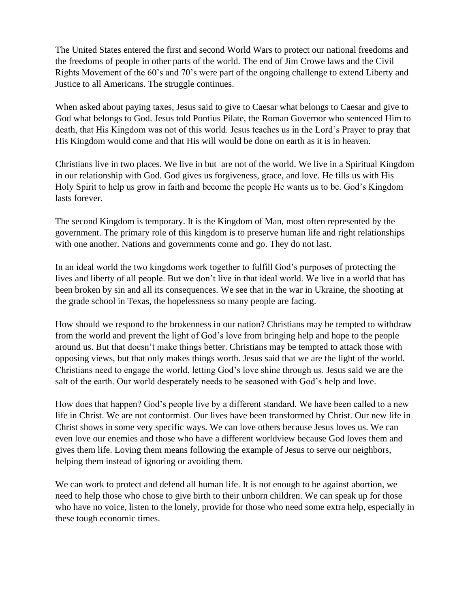The United States entered the first and second World Wars to protect our national freedoms and the freedoms of people in other parts of the world. The end of Jim Crowe laws and the Civil Rights Movement of the 60's and 70's were part of the ongoing challenge to extend Liberty and Justice to all Americans. The struggle continues.

When asked about paying taxes, Jesus said to give to Caesar what belongs to Caesar and give to God what belongs to God. Jesus told Pontius Pilate, the Roman Governor who sentenced Him to death, that His Kingdom was not of this world. Jesus teaches us in the Lord's Prayer to pray that His Kingdom would come and that His will would be done on earth as it is in heaven.

Christians live in two places. We live in but are not of the world. We live in a Spiritual Kingdom in our relationship with God. God gives us forgiveness, grace, and love. He fills us with His Holy Spirit to help us grow in faith and become the people He wants us to be. God's Kingdom lasts forever.

The second Kingdom is temporary. It is the Kingdom of Man, most often represented by the government. The primary role of this kingdom is to preserve human life and right relationships with one another. Nations and governments come and go. They do not last.

In an ideal world the two kingdoms work together to fulfill God's purposes of protecting the lives and liberty of all people. But we don't live in that ideal world. We live in a world that has been broken by sin and all its consequences. We see that in the war in Ukraine, the shooting at the grade school in Texas, the hopelessness so many people are facing.

How should we respond to the brokenness in our nation? Christians may be tempted to withdraw from the world and prevent the light of God's love from bringing help and hope to the people around us. But that doesn't make things better. Christians may be tempted to attack those with opposing views, but that only makes things worth. Jesus said that we are the light of the world. Christians need to engage the world, letting God's love shine through us. Jesus said we are the salt of the earth. Our world desperately needs to be seasoned with God's help and love.

How does that happen? God's people live by a different standard. We have been called to a new life in Christ. We are not conformist. Our lives have been transformed by Christ. Our new life in Christ shows in some very specific ways. We can love others because Jesus loves us. We can even love our enemies and those who have a different worldview because God loves them and gives them life. Loving them means following the example of Jesus to serve our neighbors, helping them instead of ignoring or avoiding them.

We can work to protect and defend all human life. It is not enough to be against abortion, we need to help those who chose to give birth to their unborn children. We can speak up for those who have no voice, listen to the lonely, provide for those who need some extra help, especially in these tough economic times.